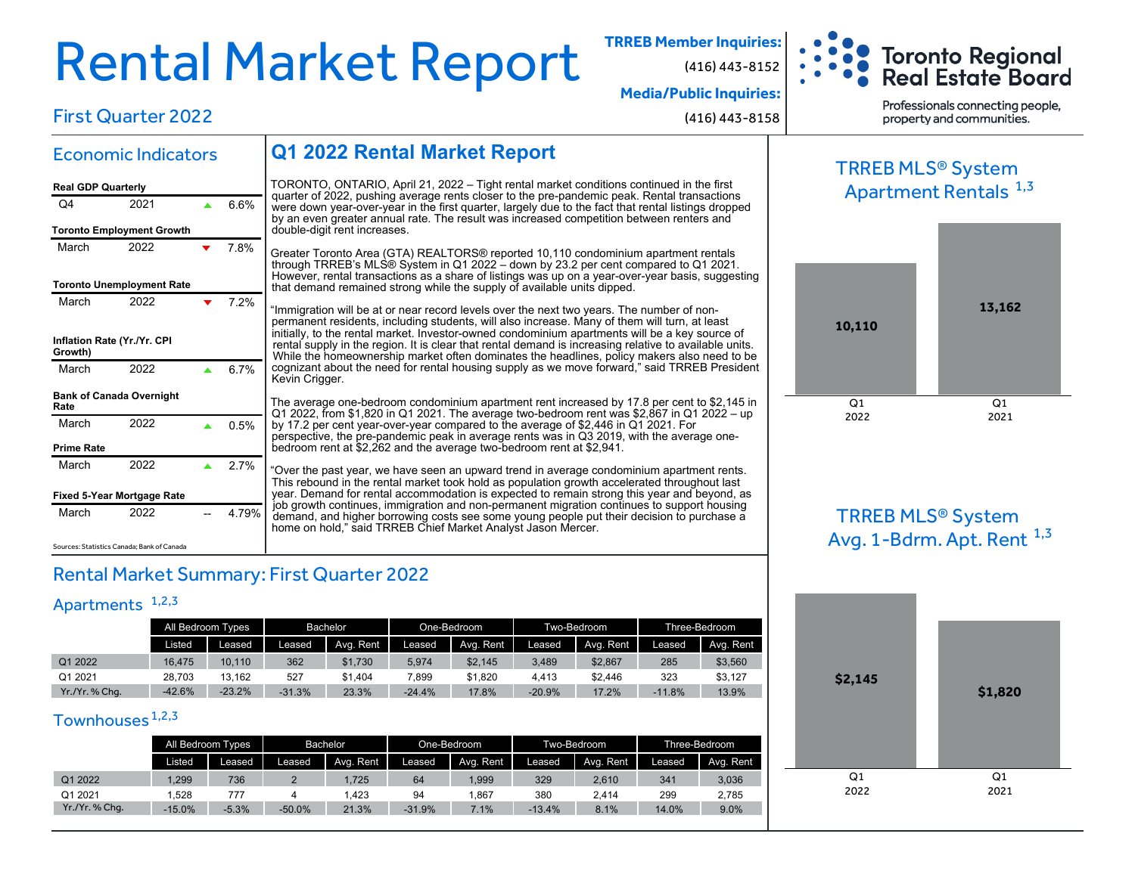# Rental Market Report **TRREB Member Inquiries:**

(416) 443-8152



**Media/Public Inquiries:**

(416) 443-8158

Professionals connecting people. property and communities.

### First Quarter 2022

Economic Indicators

March 2022 **v** 7.8%

Q4 2021 **4 6.6%** 

March 2022  $\sqrt{7.2\%}$ 

March 2022 **4 6.7%** 

March  $2022$   $\triangle$  0.5%

March  $2022$   $\triangle$  2.7%

March 2022 -- 4.79%

**Toronto Employment Growth** 

**Real GDP Quarterly**

**Toronto Unemployment Rate**

**Inflation Rate (Yr./Yr. CPI**

**Bank of Canada Overnight**

**Growth)**

**Rate**

**Prime Rate**

### **Q1 2022 Rental Market Report**

TORONTO, ONTARIO, April 21, 2022 – Tight rental market conditions continued in the first quarter of 2022, pushing average rents closer to the pre-pandemic peak. Rental transactions were down year-over-year in the first quarter, largely due to the fact that rental listings dropped by an even greater annual rate. The result was increased competition between renters and double-digit rent increases.

Greater Toronto Area (GTA) REALTORS® reported 10,110 condominium apartment rentals through TRREB's MLS® System in Q1 2022 – down by 23.2 per cent compared to Q1 2021. However, rental transactions as a share of listings was up on a year-over-year basis, suggesting that demand remained strong while the supply of available units dipped.

"Immigration will be at or near record levels over the next two years. The number of nonpermanent residents, including students, will also increase. Many of them will turn, at least initially, to the rental market. Investor-owned condominium apartments will be a key source of rental supply in the region. It is clear that rental demand is increasing relative to available units. While the homeownership market often dominates the headlines, policy makers also need to be cognizant about the need for rental housing supply as we move forward," said TRREB President Kevin Crigger.

The average one-bedroom condominium apartment rent increased by 17.8 per cent to \$2,145 in Q1 2022, from \$1,820 in Q1 2021. The average two-bedroom rent was \$2,867 in Q1 2022 – up by 17.2 per cent year-over-year compared to the average of \$2,446 in Q1 2021. For perspective, the pre-pandemic peak in average rents was in Q3 2019, with the average onebedroom rent at \$2,262 and the average two-bedroom rent at \$2,941.

"Over the past year, we have seen an upward trend in average condominium apartment rents. This rebound in the rental market took hold as population growth accelerated throughout last year. Demand for rental accommodation is expected to remain strong this year and beyond, as job growth continues, immigration and non-permanent migration continues to support housing demand, and higher borrowing costs see some young people put their decision to purchase a home on hold," said TRREB Chief Market Analyst Jason Mercer.

Sources: Statistics Canada; Bank of Canada

**Fixed 5-Year Mortgage Rate**

### Rental Market Summary: First Quarter 2022

### Apartments<sup>1,2,3</sup>

|              | All Bedroom Types |          | <b>Bachelor</b> |           |          | One-Bedroom |          | Two-Bedroom | Three-Bedroom |           |
|--------------|-------------------|----------|-----------------|-----------|----------|-------------|----------|-------------|---------------|-----------|
|              | Listed            | Leased   | Leased          | Ava. Rent | Leased   | Ava. Rent   | Leased   | Avg. Rent   | Leased        | Avg. Rent |
| Q1 2022      | 16.475            | 10.110   | 362             | \$1.730   | 5,974    | \$2,145     | 3,489    | \$2,867     | 285           | \$3,560   |
| Q1 2021      | 28.703            | 13.162   | 527             | \$1.404   | 7.899    | \$1,820     | 4.413    | \$2.446     | 323           | \$3.127   |
| Yr./Yr.%Chq. | $-42.6%$          | $-23.2%$ | $-31.3%$        | 23.3%     | $-24.4%$ | 17.8%       | $-20.9%$ | 17.2%       | $-11.8%$      | 13.9%     |

### Townhouses<sup>1,2,3</sup>

|              | All Bedroom Types |         | Bachelor |           |          | One-Bedroom |          | Two-Bedroom | Three-Bedroom |           |
|--------------|-------------------|---------|----------|-----------|----------|-------------|----------|-------------|---------------|-----------|
|              | Listed            | Leased  | Leased   | Ava. Rent | Leased   | Avg. Rent   | Leased   | Avg. Rent   | Leased        | Avg. Rent |
| Q1 2022      | .299              | 736     |          | 1.725     | 64       | ,999        | 329      | 2,610       | 341           | 3,036     |
| Q1 2021      | .528              | 777     |          | .423      | 94       | .867        | 380      | 2.414       | 299           | 2,785     |
| Yr./Yr.%Chq. | $-15.0%$          | $-5.3%$ | $-50.0%$ | 21.3%     | $-31.9%$ | 7.1%        | $-13.4%$ | 8.1%        | 14.0%         | 9.0%      |

### TRREB MLS® System Apartment Rentals <sup>1,3</sup>



### TRREB MLS® System Avg. 1-Bdrm. Apt. Rent  $^{1,3}$

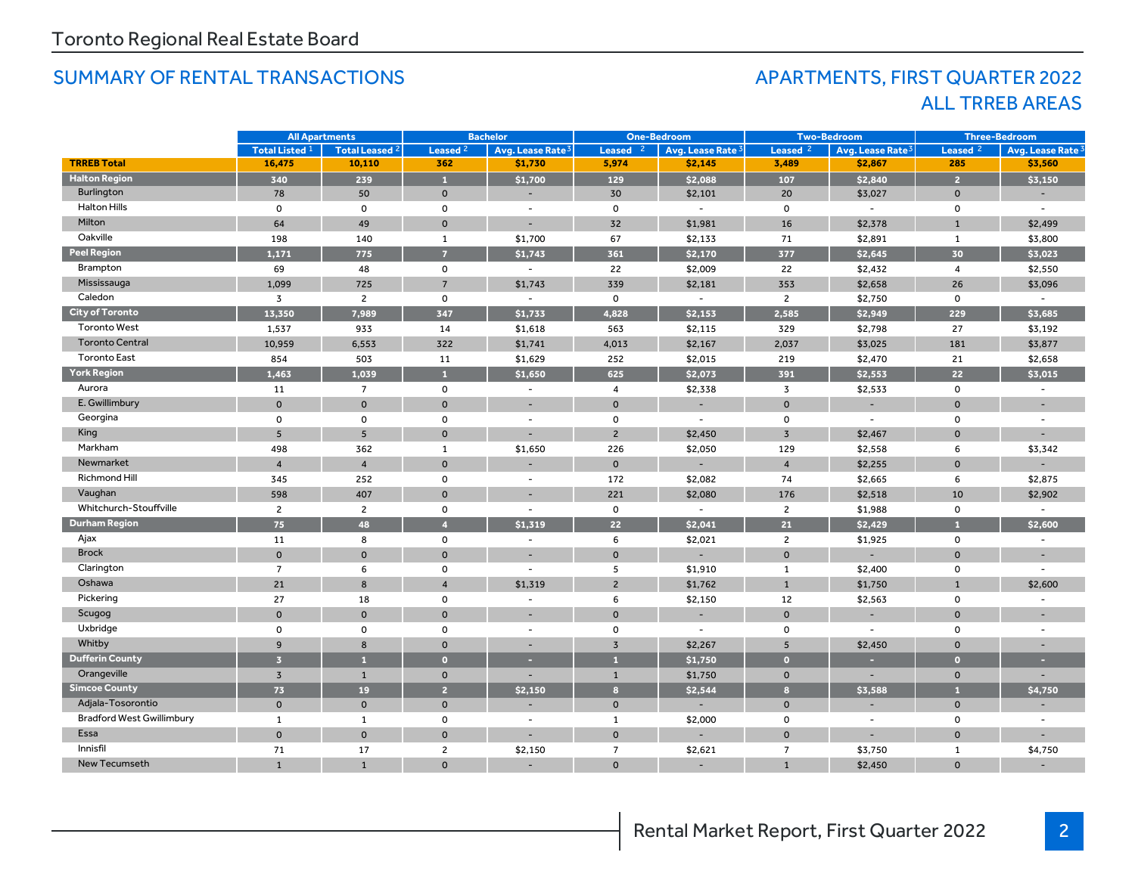### SUMMARY OF RENTAL TRANSACTIONS AND RESOLUTION APARTMENTS, FIRST QUARTER 2022

## ALL TRREB AREAS

|                                  | <b>All Apartments</b>     |                       | <b>Bachelor</b>     |                              | <b>One-Bedroom</b> |                          | <b>Two-Bedroom</b>  |                              | <b>Three-Bedroom</b> |                              |
|----------------------------------|---------------------------|-----------------------|---------------------|------------------------------|--------------------|--------------------------|---------------------|------------------------------|----------------------|------------------------------|
|                                  | Total Listed <sup>1</sup> | <b>Total Leased 2</b> | Leased <sup>2</sup> | Avg. Lease Rate <sup>3</sup> | Leased $2$         | Avg. Lease Rate 3        | Leased <sub>2</sub> | Avg. Lease Rate <sup>3</sup> | Leased <sub>2</sub>  | Avg. Lease Rate <sup>3</sup> |
| <b>TRREB Total</b>               | 16,475                    | 10,110                | 362                 | \$1,730                      | 5,974              | \$2,145                  | 3,489               | \$2,867                      | 285                  | \$3,560                      |
| <b>Halton Region</b>             | 340                       | 239                   | $\mathbf{1}$        | \$1,700                      | 129                | \$2,088                  | 107                 | \$2,840                      | $\overline{2}$       | \$3,150                      |
| Burlington                       | 78                        | 50                    | $\mathbf 0$         | $\blacksquare$               | 30                 | \$2,101                  | 20                  | \$3,027                      | $\mathbf 0$          |                              |
| <b>Halton Hills</b>              | $\mathsf{o}$              | 0                     | 0                   | $\overline{\phantom{a}}$     | $\mathbf 0$        | $\sim$                   | $\mathsf{o}$        | $\sim$                       | $\mathbf 0$          | $\sim$                       |
| Milton                           | 64                        | 49                    | $\mathbf{0}$        | $\overline{\phantom{a}}$     | 32                 | \$1,981                  | 16                  | \$2,378                      | $\mathbf{1}$         | \$2,499                      |
| Oakville                         | 198                       | 140                   | 1                   | \$1,700                      | 67                 | \$2,133                  | 71                  | \$2,891                      | $\mathbf{1}$         | \$3,800                      |
| <b>Peel Region</b>               | 1.171                     | 775                   | $\overline{7}$      | \$1,743                      | 361                | \$2,170                  | 377                 | \$2,645                      | 30                   | \$3,023                      |
| Brampton                         | 69                        | 48                    | 0                   | $\overline{a}$               | 22                 | \$2,009                  | 22                  | \$2,432                      | $\overline{4}$       | \$2,550                      |
| Mississauga                      | 1,099                     | 725                   | $\overline{7}$      | \$1,743                      | 339                | \$2,181                  | 353                 | \$2,658                      | 26                   | \$3,096                      |
| Caledon                          | $\overline{3}$            | $\overline{c}$        | $\mathsf{o}$        |                              | $\mathbf 0$        | $\equiv$                 | $\overline{2}$      | \$2,750                      | $\mathbf 0$          |                              |
| <b>City of Toronto</b>           | 13,350                    | 7,989                 | 347                 | \$1,733                      | 4,828              | \$2,153                  | 2,585               | \$2,949                      | 229                  | \$3,685                      |
| <b>Toronto West</b>              | 1,537                     | 933                   | 14                  | \$1,618                      | 563                | \$2,115                  | 329                 | \$2,798                      | 27                   | \$3,192                      |
| <b>Toronto Central</b>           | 10,959                    | 6,553                 | 322                 | \$1,741                      | 4,013              | \$2,167                  | 2,037               | \$3,025                      | 181                  | \$3,877                      |
| <b>Toronto East</b>              | 854                       | 503                   | 11                  | \$1,629                      | 252                | \$2,015                  | 219                 | \$2,470                      | 21                   | \$2,658                      |
| <b>York Region</b>               | 1,463                     | 1,039                 | $\mathbf{1}$        | \$1,650                      | 625                | \$2,073                  | 391                 | \$2,553                      | 22                   | \$3,015                      |
| Aurora                           | 11                        | $\overline{7}$        | 0                   | $\overline{\phantom{a}}$     | $\overline{4}$     | \$2,338                  | $\overline{3}$      | \$2,533                      | $\mathbf{o}$         | $\overline{\phantom{a}}$     |
| E. Gwillimbury                   | $\mathbf{0}$              | $\mathbf{O}$          | $\mathbf{0}$        | $\overline{\phantom{a}}$     | $\mathbf 0$        | $\overline{\phantom{a}}$ | $\mathbf{O}$        | ۰                            | $\mathbf{0}$         |                              |
| Georgina                         | $\mathbf 0$               | $\mathbf 0$           | $\mathsf{o}$        | $\overline{\phantom{a}}$     | $\mathbf 0$        | $\overline{\phantom{a}}$ | $\mathbf 0$         | $\overline{\phantom{a}}$     | $\mathbf 0$          |                              |
| King                             | 5                         | 5 <sup>5</sup>        | $\mathbf{0}$        |                              | $\overline{2}$     | \$2,450                  | $\overline{3}$      | \$2,467                      | $\mathbf 0$          |                              |
| Markham                          | 498                       | 362                   | $\mathbf{1}$        | \$1,650                      | 226                | \$2,050                  | 129                 | \$2,558                      | 6                    | \$3,342                      |
| Newmarket                        | $\overline{4}$            | $\overline{4}$        | $\mathbf 0$         |                              | $\mathbf 0$        | $\overline{\phantom{a}}$ | $\overline{4}$      | \$2,255                      | $\mathbf{0}$         |                              |
| Richmond Hill                    | 345                       | 252                   | $\mathsf{o}$        | $\overline{\phantom{a}}$     | 172                | \$2,082                  | 74                  | \$2,665                      | 6                    | \$2,875                      |
| Vaughan                          | 598                       | 407                   | $\mathbf 0$         |                              | 221                | \$2,080                  | 176                 | \$2,518                      | 10                   | \$2,902                      |
| Whitchurch-Stouffville           | $\overline{2}$            | $\overline{2}$        | 0                   | $\overline{\phantom{a}}$     | $\mathsf{o}$       | $\sim$                   | $\overline{2}$      | \$1,988                      | $\mathsf{o}$         | $\overline{\phantom{a}}$     |
| <b>Durham Region</b>             | 75                        | 48                    | $\overline{4}$      | \$1.319                      | 22                 | \$2,041                  | 21                  | \$2,429                      |                      | \$2,600                      |
| Ajax                             | 11                        | 8                     | 0                   | $\blacksquare$               | 6                  | \$2,021                  | $\overline{2}$      | \$1,925                      | $\mathsf{o}$         |                              |
| <b>Brock</b>                     | $\mathbf{0}$              | $\mathbf{0}$          | $\mathbf 0$         |                              | $\mathbf{0}$       |                          | $\mathbf{O}$        |                              | $\mathbf 0$          |                              |
| Clarington                       | $\overline{7}$            | 6                     | 0                   | $\blacksquare$               | 5                  | \$1,910                  | 1                   | \$2,400                      | $\mathbf 0$          | $\sim$                       |
| Oshawa                           | 21                        | 8                     | $\overline{4}$      | \$1,319                      | $\overline{c}$     | \$1,762                  | $\mathbf{1}$        | \$1,750                      | $\mathbf{1}$         | \$2,600                      |
| Pickering                        | 27                        | 18                    | 0                   | $\sim$                       | 6                  | \$2,150                  | 12                  | \$2,563                      | $\mathsf{o}\,$       | $\overline{\phantom{a}}$     |
| Scugog                           | $\overline{0}$            | $\mathbf 0$           | $\mathbf 0$         |                              | $\mathbf{O}$       |                          | $\mathbf 0$         |                              | $\mathbf{O}$         |                              |
| Uxbridge                         | $\mathbf 0$               | $\mathbf 0$           | 0                   | $\overline{\phantom{a}}$     | 0                  | $\overline{\phantom{a}}$ | 0                   | $\overline{\phantom{a}}$     | $\mathsf{o}$         | $\overline{\phantom{a}}$     |
| Whitby                           | 9                         | 8                     | $\mathbf{0}$        |                              | $\overline{3}$     | \$2,267                  | 5                   | \$2,450                      | $\mathbf{0}$         |                              |
| <b>Dufferin County</b>           | $\overline{3}$            | $\mathbf{1}$          | $\overline{0}$      | н.                           | $\mathbf{1}$       | \$1,750                  | $\bullet$           | н                            | $\bullet$            |                              |
| Orangeville                      | $\overline{3}$            | $\mathbf{1}$          | $\mathbf{0}$        |                              | $\mathbf{1}$       | \$1,750                  | $\mathbf{0}$        |                              | $\mathbf{0}$         |                              |
| <b>Simcoe County</b>             | 73                        | 19                    | $\overline{2}$      | \$2,150                      | 8                  | \$2,544                  | 8                   | \$3,588                      | п                    | \$4,750                      |
| Adjala-Tosorontio                | $\mathbf{0}$              | $\mathbf 0$           | $\mathbf 0$         |                              | $\mathbf 0$        |                          | $\mathbf 0$         | $\overline{\phantom{a}}$     | $\mathbf 0$          |                              |
| <b>Bradford West Gwillimbury</b> | $\mathbf{1}$              | $\mathbf{1}$          | 0                   | $\overline{\phantom{a}}$     | 1                  | \$2,000                  | 0                   | $\blacksquare$               | $\mathbf 0$          | $\overline{\phantom{a}}$     |
| Essa                             | $\mathbf{0}$              | $\mathbf 0$           | $\mathbf 0$         |                              | $\mathbf 0$        |                          | $\mathbf 0$         |                              | $\Omega$             |                              |
| Innisfil                         | 71                        | 17                    | $\overline{c}$      | \$2,150                      | $\overline{7}$     | \$2,621                  | $\overline{7}$      | \$3,750                      | $\mathbf{1}$         | \$4,750                      |
| <b>New Tecumseth</b>             | $\mathbf{1}$              | $\mathbf{1}$          | $\mathbf{0}$        |                              | $\mathbf 0$        |                          | $\mathbf{1}$        | \$2,450                      | $\Omega$             |                              |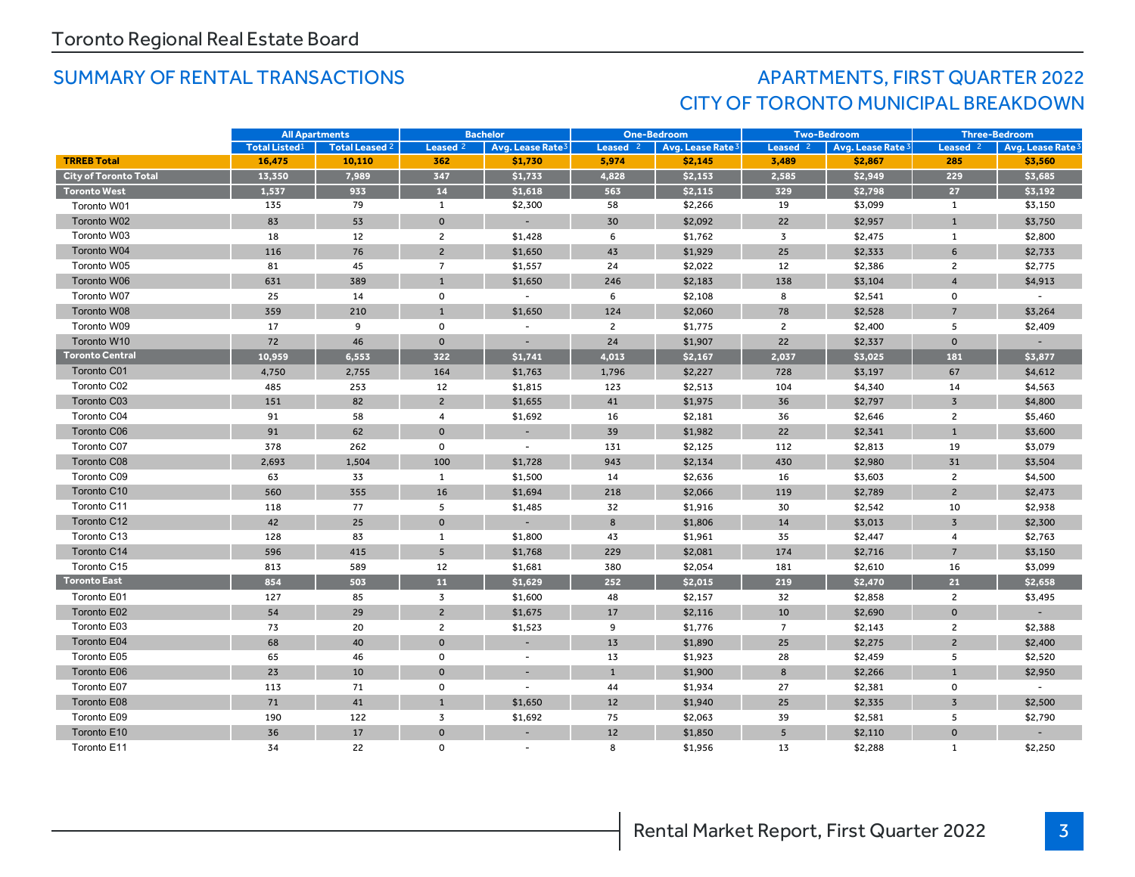### SUMMARY OF RENTAL TRANSACTIONS AND RESOLUTION APARTMENTS, FIRST QUARTER 2022 CITY OF TORONTO MUNICIPAL BREAKDOWN

|                              | <b>All Apartments</b> |                | <b>Bachelor</b>     |                              | <b>One-Bedroom</b> |                              | <b>Two-Bedroom</b>  |                   | <b>Three-Bedroom</b> |                          |
|------------------------------|-----------------------|----------------|---------------------|------------------------------|--------------------|------------------------------|---------------------|-------------------|----------------------|--------------------------|
|                              | <b>Total Listed1</b>  | Total Leased 2 | Leased <sup>2</sup> | Avg. Lease Rate <sup>3</sup> | Leased $2$         | Avg. Lease Rate <sup>3</sup> | Leased <sup>2</sup> | Avg. Lease Rate 3 | Leased $2$           | Avg. Lease Rate          |
| <b>TRREB Total</b>           | 16,475                | 10,110         | 362                 | \$1,730                      | 5,974              | \$2,145                      | 3,489               | \$2,867           | 285                  | \$3,560                  |
| <b>City of Toronto Total</b> | 13,350                | 7,989          | 347                 | \$1,733                      | 4,828              | \$2,153                      | 2,585               | \$2,949           | 229                  | \$3,685                  |
| <b>Toronto West</b>          | 1,537                 | 933            | 14                  | \$1,618                      | 563                | \$2,115                      | 329                 | \$2,798           | 27                   | \$3,192                  |
| Toronto W01                  | 135                   | 79             | 1                   | \$2,300                      | 58                 | \$2,266                      | 19                  | \$3,099           | $\mathbf{1}$         | \$3,150                  |
| Toronto W02                  | 83                    | 53             | $\mathbf{0}$        |                              | 30                 | \$2,092                      | 22                  | \$2,957           | $\mathbf{1}$         | \$3,750                  |
| Toronto W03                  | 18                    | 12             | $\overline{c}$      | \$1,428                      | 6                  | \$1,762                      | 3                   | \$2,475           | $\mathbf{1}$         | \$2,800                  |
| Toronto W04                  | 116                   | 76             | $\overline{2}$      | \$1,650                      | 43                 | \$1,929                      | 25                  | \$2,333           | 6                    | \$2,733                  |
| Toronto W05                  | 81                    | 45             | $\overline{7}$      | \$1,557                      | 24                 | \$2,022                      | 12                  | \$2,386           | $\overline{c}$       | \$2,775                  |
| Toronto W06                  | 631                   | 389            | $\mathbf{1}$        | \$1,650                      | 246                | \$2,183                      | 138                 | \$3,104           | $\overline{4}$       | \$4,913                  |
| Toronto W07                  | 25                    | 14             | $\mathsf{o}\,$      | $\overline{\phantom{a}}$     | 6                  | \$2,108                      | 8                   | \$2,541           | $\mathsf{o}\,$       | $\overline{\phantom{a}}$ |
| Toronto W08                  | 359                   | 210            | $\mathbf{1}$        | \$1,650                      | 124                | \$2,060                      | 78                  | \$2,528           | $\overline{7}$       | \$3,264                  |
| Toronto W09                  | 17                    | 9              | 0                   | $\sim$                       | $\overline{2}$     | \$1,775                      | $\overline{2}$      | \$2,400           | 5                    | \$2,409                  |
| Toronto W10                  | 72                    | 46             | $\Omega$            |                              | 24                 | \$1,907                      | 22                  | \$2,337           | $\mathbf 0$          |                          |
| <b>Toronto Central</b>       | 10,959                | 6.553          | 322                 | \$1,741                      | 4,013              | \$2,167                      | 2.037               | \$3.025           | 181                  | \$3,877                  |
| Toronto C01                  | 4,750                 | 2,755          | 164                 | \$1,763                      | 1,796              | \$2,227                      | 728                 | \$3,197           | 67                   | \$4,612                  |
| Toronto C02                  | 485                   | 253            | 12                  | \$1,815                      | 123                | \$2,513                      | 104                 | \$4,340           | 14                   | \$4,563                  |
| Toronto C03                  | 151                   | 82             | $\overline{2}$      | \$1,655                      | 41                 | \$1,975                      | 36                  | \$2,797           | $\overline{3}$       | \$4,800                  |
| Toronto C04                  | 91                    | 58             | 4                   | \$1,692                      | 16                 | \$2,181                      | 36                  | \$2,646           | $\overline{2}$       | \$5,460                  |
| Toronto C06                  | 91                    | 62             | $\mathbf 0$         |                              | 39                 | \$1,982                      | 22                  | \$2,341           | $\mathbf{1}$         | \$3,600                  |
| Toronto C07                  | 378                   | 262            | 0                   |                              | 131                | \$2,125                      | 112                 | \$2,813           | 19                   | \$3,079                  |
| Toronto C08                  | 2,693                 | 1,504          | 100                 | \$1,728                      | 943                | \$2,134                      | 430                 | \$2,980           | 31                   | \$3,504                  |
| Toronto C09                  | 63                    | 33             | 1                   | \$1,500                      | 14                 | \$2,636                      | 16                  | \$3,603           | $\overline{2}$       | \$4,500                  |
| Toronto C10                  | 560                   | 355            | 16                  | \$1,694                      | 218                | \$2,066                      | 119                 | \$2,789           | $\overline{c}$       | \$2,473                  |
| Toronto C11                  | 118                   | 77             | 5                   | \$1,485                      | 32                 | \$1,916                      | 30                  | \$2,542           | 10                   | \$2,938                  |
| Toronto C12                  | 42                    | 25             | $\mathbf{0}$        |                              | 8                  | \$1,806                      | 14                  | \$3,013           | $\overline{3}$       | \$2,300                  |
| Toronto C13                  | 128                   | 83             | $\mathbf{1}$        | \$1,800                      | 43                 | \$1,961                      | 35                  | \$2,447           | $\overline{4}$       | \$2,763                  |
| Toronto C14                  | 596                   | 415            | 5                   | \$1,768                      | 229                | \$2,081                      | 174                 | \$2,716           | $\overline{7}$       | \$3,150                  |
| Toronto C15                  | 813                   | 589            | 12                  | \$1,681                      | 380                | \$2,054                      | 181                 | \$2,610           | 16                   | \$3,099                  |
| <b>Toronto East</b>          | 854                   | 503            | 11                  | \$1,629                      | 252                | \$2,015                      | 219                 | \$2,470           | 21                   | \$2,658                  |
| Toronto E01                  | 127                   | 85             | 3                   | \$1,600                      | 48                 | \$2,157                      | 32                  | \$2,858           | $\overline{2}$       | \$3,495                  |
| Toronto E02                  | 54                    | 29             | $\overline{2}$      | \$1,675                      | 17                 | \$2,116                      | 10                  | \$2,690           | $\Omega$             |                          |
| Toronto E03                  | 73                    | 20             | $\overline{2}$      | \$1,523                      | 9                  | \$1,776                      | $\overline{7}$      | \$2,143           | $\overline{2}$       | \$2,388                  |
| Toronto E04                  | 68                    | 40             | $\mathbf{O}$        |                              | 13                 | \$1,890                      | 25                  | \$2,275           | $\overline{2}$       | \$2,400                  |
| Toronto E05                  | 65                    | 46             | $\mathbf 0$         | $\overline{\phantom{a}}$     | 13                 | \$1,923                      | 28                  | \$2,459           | 5                    | \$2,520                  |
| Toronto E06                  | 23                    | 10             | $\mathsf{o}\xspace$ |                              | $\mathbf{1}$       | \$1,900                      | 8                   | \$2,266           | $\mathbf{1}$         | \$2,950                  |
| Toronto E07                  | 113                   | 71             | 0                   |                              | 44                 | \$1,934                      | 27                  | \$2,381           | 0                    |                          |
| Toronto E08                  | 71                    | 41             | $\mathbf{1}$        | \$1,650                      | 12                 | \$1,940                      | 25                  | \$2,335           | $\overline{3}$       | \$2,500                  |
| Toronto E09                  | 190                   | 122            | 3                   | \$1,692                      | 75                 | \$2,063                      | 39                  | \$2,581           | 5                    | \$2,790                  |
| Toronto E10                  | 36                    | 17             | $\mathbf 0$         |                              | 12                 | \$1,850                      | 5                   | \$2,110           | $\mathbf 0$          |                          |
| Toronto E11                  | 34                    | 22             | $\mathbf 0$         |                              | 8                  | \$1,956                      | 13                  | \$2,288           | $\mathbf{1}$         | \$2,250                  |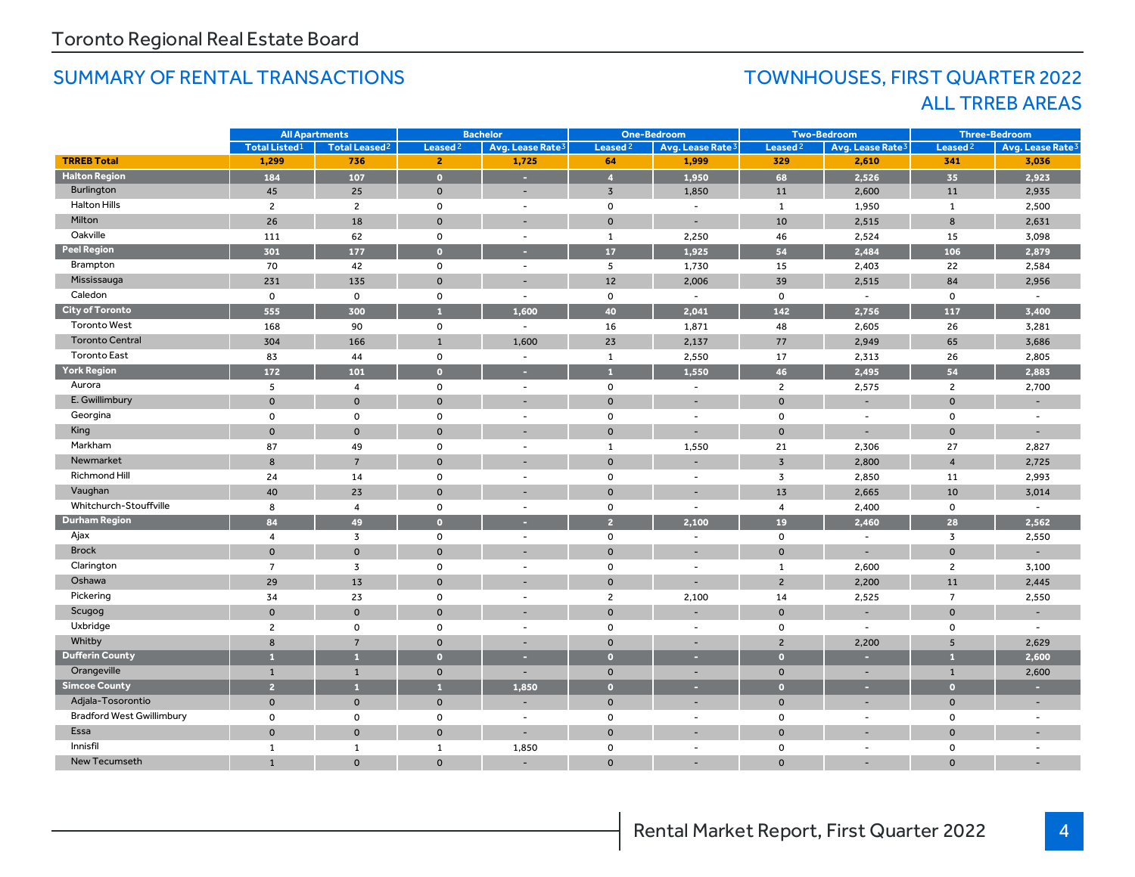### SUMMARY OF RENTAL TRANSACTIONS TOWNHOUSES, FIRST QUARTER 2022

## ALL TRREB AREAS

|                                  | <b>All Apartments</b> |                                 | <b>Bachelor</b>     |                              | <b>One-Bedroom</b>  |                              | <b>Two-Bedroom</b>  |                              | <b>Three-Bedroom</b> |                              |
|----------------------------------|-----------------------|---------------------------------|---------------------|------------------------------|---------------------|------------------------------|---------------------|------------------------------|----------------------|------------------------------|
|                                  | <b>Total Listed1</b>  | <b>Total Leased<sup>2</sup></b> | Leased <sup>2</sup> | Avg. Lease Rate <sup>3</sup> | Leased <sup>2</sup> | Avg. Lease Rate <sup>3</sup> | Leased <sup>2</sup> | Avg. Lease Rate <sup>3</sup> | Leased <sup>2</sup>  | Avg. Lease Rate <sup>3</sup> |
| <b>TRREB Total</b>               | 1,299                 | 736                             | $\mathbf{2}$        | 1,725                        | 64                  | 1,999                        | 329                 | 2,610                        | 341                  | 3,036                        |
| <b>Halton Region</b>             | 184                   | 107                             | $\bullet$           | ×.                           | $\overline{4}$      | 1,950                        | 68                  | 2,526                        | 35                   | 2,923                        |
| Burlington                       | 45                    | 25                              | $\mathbf{0}$        | $\sim$                       | $\overline{3}$      | 1,850                        | 11                  | 2,600                        | 11                   | 2,935                        |
| <b>Halton Hills</b>              | $\overline{2}$        | $\overline{2}$                  | $\mathsf{o}$        | $\blacksquare$               | $\mathbf 0$         | $\overline{\phantom{a}}$     | 1                   | 1,950                        | $\mathbf{1}$         | 2,500                        |
| Milton                           | 26                    | 18                              | $\mathbf{0}$        | ÷                            | $\mathbf{0}$        | $\overline{\phantom{a}}$     | 10                  | 2,515                        | 8                    | 2,631                        |
| Oakville                         | 111                   | 62                              | $\mathsf{o}$        | $\overline{\phantom{a}}$     | $\mathbf{1}$        | 2,250                        | 46                  | 2,524                        | 15                   | 3,098                        |
| <b>Peel Region</b>               | 301                   | 177                             | $\bullet$           | н                            | 17                  | 1,925                        | 54                  | 2,484                        | 106                  | 2,879                        |
| Brampton                         | 70                    | 42                              | $\mathsf{o}$        | $\overline{\phantom{a}}$     | 5                   | 1,730                        | 15                  | 2,403                        | 22                   | 2,584                        |
| Mississauga                      | 231                   | 135                             | $\mathbf{0}$        |                              | 12                  | 2,006                        | 39                  | 2,515                        | 84                   | 2,956                        |
| Caledon                          | $\mathbf 0$           | 0                               | 0                   | $\overline{\phantom{a}}$     | $\mathbf 0$         | $\sim$                       | 0                   | $\overline{\phantom{a}}$     | 0                    | $\overline{\phantom{a}}$     |
| <b>City of Toronto</b>           | 555                   | 300                             | A                   | 1,600                        | 40                  | 2,041                        | 142                 | 2,756                        | 117                  | 3,400                        |
| <b>Toronto West</b>              | 168                   | 90                              | 0                   | $\overline{\phantom{a}}$     | 16                  | 1,871                        | 48                  | 2,605                        | 26                   | 3,281                        |
| <b>Toronto Central</b>           | 304                   | 166                             | $\mathbf{1}$        | 1.600                        | 23                  | 2,137                        | 77                  | 2,949                        | 65                   | 3,686                        |
| <b>Toronto East</b>              | 83                    | 44                              | $\mathsf{o}$        | $\sim$                       | $\mathbf{1}$        | 2,550                        | 17                  | 2,313                        | 26                   | 2,805                        |
| <b>York Region</b>               | 172                   | 101                             | $\bullet$           | н                            | $\overline{1}$      | 1.550                        | 46                  | 2,495                        | 54                   | 2,883                        |
| Aurora                           | 5                     | $\overline{4}$                  | $\mathsf{o}$        | $\blacksquare$               | $\mathsf 0$         | $\blacksquare$               | $\overline{2}$      | 2,575                        | $\overline{2}$       | 2,700                        |
| E. Gwillimbury                   | $\Omega$              | $\mathbf{O}$                    | $\mathbf{O}$        |                              | $\mathbf{0}$        |                              | $\Omega$            |                              | $\Omega$             |                              |
| Georgina                         | $\mathbf 0$           | $\mathbf 0$                     | $\mathsf{o}$        | $\sim$                       | $\mathsf 0$         | $\sim$                       | $\mathbf 0$         | $\sim$                       | 0                    |                              |
| King                             | $\Omega$              | $\mathbf{0}$                    | $\mathbf{0}$        |                              | $\mathbf{0}$        |                              | $\bullet$           |                              | $\Omega$             |                              |
| Markham                          | 87                    | 49                              | 0                   | $\blacksquare$               | $\mathbf{1}$        | 1,550                        | 21                  | 2,306                        | 27                   | 2,827                        |
| Newmarket                        | 8                     | $\overline{7}$                  | $\mathbf{0}$        |                              | $\mathbf{0}$        |                              | $\overline{3}$      | 2,800                        | $\overline{4}$       | 2,725                        |
| Richmond Hill                    | 24                    | 14                              | 0                   | $\sim$                       | $\mathsf 0$         | $\sim$                       | 3                   | 2,850                        | 11                   | 2,993                        |
| Vaughan                          | 40                    | 23                              | $\mathbf{0}$        |                              | $\mathbf{O}$        |                              | 13                  | 2,665                        | 10                   | 3,014                        |
| Whitchurch-Stouffville           | 8                     | 4                               | 0                   | $\overline{\phantom{a}}$     | 0                   | $\blacksquare$               | 4                   | 2,400                        | 0                    | $\blacksquare$               |
| <b>Durham Region</b>             | 84                    | 49                              | $\bullet$           |                              | $\overline{2}$      | 2,100                        | 19                  | 2,460                        | 28                   | 2,562                        |
| Ajax                             | $\overline{4}$        | 3                               | 0                   | $\blacksquare$               | 0                   | $\sim$                       | 0                   | $\sim$                       | 3                    | 2,550                        |
| <b>Brock</b>                     | $\Omega$              | $\Omega$                        | $\Omega$            |                              | $\Omega$            |                              | $\Omega$            | $\sim$                       | $\Omega$             |                              |
| Clarington                       | $\overline{7}$        | 3                               | $\mathsf{o}$        | $\sim$                       | $\mathbf 0$         | $\overline{\phantom{a}}$     | $\mathbf{1}$        | 2,600                        | $\overline{2}$       | 3,100                        |
| Oshawa                           | 29                    | 13                              | $\mathbf{0}$        |                              | $\mathbf{0}$        |                              | $\overline{2}$      | 2,200                        | 11                   | 2,445                        |
| Pickering                        | 34                    | 23                              | $\mathsf{o}$        | $\overline{\phantom{a}}$     | $\overline{2}$      | 2,100                        | 14                  | 2,525                        | $\overline{7}$       | 2,550                        |
| Scugog                           | $\Omega$              | $\mathbf{0}$                    | $\mathbf{0}$        |                              | $\mathbf{0}$        |                              | $\Omega$            |                              | $\mathbf 0$          |                              |
| Uxbridge                         | $\overline{c}$        | $\mathsf{o}$                    | 0                   | $\sim$                       | $\mathbf 0$         | $\overline{\phantom{a}}$     | $\mathbf 0$         | $\sim$                       | $\mathbf 0$          | $\sim$                       |
| Whitby                           | 8                     | $\overline{7}$                  | $\mathbf{0}$        | $\overline{\phantom{a}}$     | $\mathbf 0$         | $\overline{\phantom{a}}$     | $\overline{2}$      | 2,200                        | 5                    | 2,629                        |
| <b>Dufferin County</b>           | $\mathbf{1}$          | $\mathbf{1}$                    | $\bullet$           | ×                            | $\bullet$           | н                            | $\bullet$           | ×                            | $\blacksquare$       | 2,600                        |
| Orangeville                      | $\mathbf{1}$          | $\mathbf{1}$                    | $\mathbf 0$         | $\overline{\phantom{a}}$     | $\mathbf 0$         | ٠                            | $\mathbf 0$         | $\overline{\phantom{a}}$     | $\mathbf{1}$         | 2,600                        |
| <b>Simcoe County</b>             | $\overline{2}$        | $\mathbf{1}$                    | A                   | 1,850                        | $\bullet$           | ٠                            | $\bullet$           | ×                            | $\overline{0}$       | ×                            |
| Adjala-Tosorontio                | $\mathbf 0$           | $\mathbf 0$                     | $\mathbf 0$         |                              | $\mathbf 0$         | $\overline{\phantom{0}}$     | $\mathbf 0$         |                              | $\mathbf 0$          | $\overline{\phantom{a}}$     |
| <b>Bradford West Gwillimbury</b> | $\mathbf 0$           | 0                               | 0                   | $\overline{\phantom{a}}$     | $\mathbf 0$         | $\sim$                       | 0                   | $\sim$                       | 0                    | $\overline{\phantom{a}}$     |
| Essa                             | $\mathbf 0$           | $\mathbf 0$                     | $\mathbf 0$         |                              | $\mathbf 0$         |                              | $\mathbf{0}$        |                              | $\Omega$             |                              |
| Innisfil                         | 1                     | $\mathbf{1}$                    | $\mathbf{1}$        | 1,850                        | 0                   | $\sim$                       | $\mathbf 0$         | $\sim$                       | $\mathbf 0$          | $\overline{\phantom{a}}$     |
| New Tecumseth                    | $\mathbf{1}$          | $\mathbf{0}$                    | $\mathbf 0$         |                              | $\mathbf{O}$        |                              | $\mathbf{0}$        |                              | $\Omega$             |                              |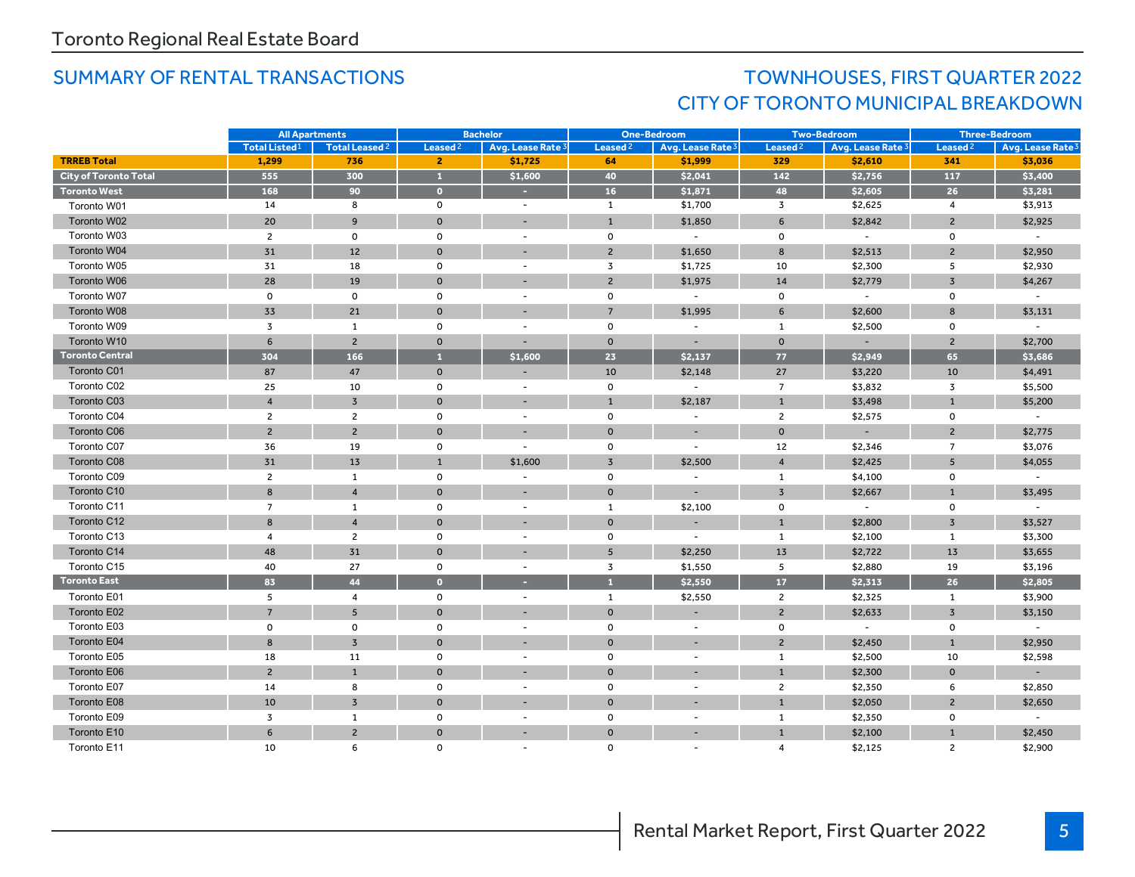### SUMMARY OF RENTAL TRANSACTIONS TOWN TOWNHOUSES, FIRST QUARTER 2022 CITY OF TORONTO MUNICIPAL BREAKDOWN

|                              | <b>All Apartments</b> |                           | <b>Bachelor</b>     |                          | <b>One-Bedroom</b>  |                              | <b>Two-Bedroom</b>  |                          | <b>Three-Bedroom</b> |                              |
|------------------------------|-----------------------|---------------------------|---------------------|--------------------------|---------------------|------------------------------|---------------------|--------------------------|----------------------|------------------------------|
|                              | <b>Total Listed1</b>  | Total Leased <sup>2</sup> | Leased <sup>2</sup> | Avg. Lease Rate 3        | Leased <sup>2</sup> | Avg. Lease Rate <sup>3</sup> | Leased <sup>2</sup> | Avg. Lease Rate 3        | Leased <sup>2</sup>  | Avg. Lease Rate <sup>3</sup> |
| <b>TRREB Total</b>           | 1,299                 | 736                       | $\mathbf{2}$        | \$1,725                  | 64                  | \$1,999                      | 329                 | \$2,610                  | 341                  | \$3,036                      |
| <b>City of Toronto Total</b> | 555                   | 300                       | $\mathbf{1}$        | \$1,600                  | 40                  | \$2,041                      | 142                 | \$2,756                  | 117                  | \$3,400                      |
| <b>Toronto West</b>          | 168                   | 90                        | $\bullet$           | ÷.                       | 16                  | \$1,871                      | 48                  | \$2,605                  | 26                   | \$3,281                      |
| Toronto W01                  | 14                    | 8                         | 0                   | $\sim$                   | 1                   | \$1,700                      | $\overline{3}$      | \$2,625                  | $\overline{4}$       | \$3,913                      |
| Toronto W02                  | 20                    | 9                         | $\mathbf 0$         | ۰                        | $\mathbf{1}$        | \$1,850                      | 6                   | \$2,842                  | $\overline{2}$       | \$2,925                      |
| Toronto W03                  | $\overline{2}$        | $\mathbf 0$               | 0                   | $\overline{a}$           | $\mathsf 0$         | $\overline{\phantom{a}}$     | $\mathbf 0$         | $\overline{\phantom{a}}$ | $\mathsf 0$          | $\sim$                       |
| Toronto W04                  | 31                    | 12                        | $\mathbf{0}$        |                          | $\overline{2}$      | \$1,650                      | 8                   | \$2,513                  | $\overline{2}$       | \$2,950                      |
| Toronto W05                  | 31                    | 18                        | $\mathbf 0$         | $\overline{a}$           | $\overline{3}$      | \$1,725                      | 10                  | \$2,300                  | 5                    | \$2,930                      |
| Toronto W06                  | 28                    | 19                        | $\mathbf{0}$        | $\overline{\phantom{a}}$ | $\overline{2}$      | \$1,975                      | 14                  | \$2,779                  | $\overline{3}$       | \$4,267                      |
| Toronto W07                  | $\mathsf 0$           | $\mathbf 0$               | 0                   | $\overline{a}$           | $\mathsf 0$         | $\overline{\phantom{a}}$     | 0                   | $\sim$                   | 0                    | $\blacksquare$               |
| Toronto W08                  | 33                    | 21                        | $\mathbf{0}$        | ÷                        | $\overline{7}$      | \$1,995                      | 6                   | \$2,600                  | 8                    | \$3,131                      |
| Toronto W09                  | $\overline{3}$        | $\mathbf{1}$              | $\mathbf 0$         | $\overline{\phantom{a}}$ | $\mathsf{o}$        | $\sim$                       | 1                   | \$2,500                  | $\mathsf{o}$         |                              |
| Toronto W10                  | 6                     | $\overline{c}$            | $\mathbf{0}$        |                          | $\mathsf{o}\xspace$ |                              | $\mathbf{0}$        |                          | $\overline{2}$       | \$2,700                      |
| <b>Toronto Central</b>       | 304                   | 166                       | $\mathbf{1}$        | \$1,600                  | 23                  | \$2,137                      | 77                  | \$2,949                  | 65                   | \$3,686                      |
| Toronto C01                  | 87                    | 47                        | $\mathbf 0$         |                          | 10                  | \$2,148                      | 27                  | \$3,220                  | 10                   | \$4,491                      |
| Toronto C02                  | 25                    | 10                        | 0                   | $\overline{\phantom{a}}$ | $\mathbf{o}$        | $\sim$                       | $\overline{7}$      | \$3,832                  | 3                    | \$5,500                      |
| Toronto C03                  | $\overline{4}$        | $\overline{3}$            | $\mathbf 0$         |                          | $\mathbf{1}$        | \$2,187                      | $\mathbf{1}$        | \$3,498                  | $\mathbf 1$          | \$5,200                      |
| Toronto C04                  | $\overline{2}$        | $\overline{c}$            | $\mathbf 0$         | $\overline{\phantom{a}}$ | $\mathsf{o}\,$      | $\overline{\phantom{a}}$     | $\overline{2}$      | \$2,575                  | 0                    | $\equiv$                     |
| Toronto C06                  | $\overline{2}$        | $\overline{2}$            | $\mathbf{0}$        | $\overline{\phantom{a}}$ | $\mathbf{0}$        | $\overline{\phantom{a}}$     | $\mathbf{0}$        |                          | $\overline{2}$       | \$2,775                      |
| Toronto C07                  | 36                    | 19                        | 0                   |                          | $\mathbf{o}$        | $\overline{\phantom{a}}$     | 12                  | \$2,346                  | $\overline{7}$       | \$3,076                      |
| Toronto C08                  | 31                    | 13                        | $\mathbf{1}$        | \$1,600                  | $\overline{3}$      | \$2,500                      | $\overline{4}$      | \$2,425                  | 5                    | \$4,055                      |
| Toronto C09                  | $\overline{2}$        | $\mathbf{1}$              | $\mathbf 0$         | $\overline{\phantom{a}}$ | $\mathsf{o}$        | $\overline{\phantom{a}}$     | $\mathbf{1}$        | \$4,100                  | $\mathsf{O}\xspace$  |                              |
| Toronto C10                  | 8                     | $\overline{4}$            | $\mathbf{0}$        |                          | $\mathbf{0}$        | ÷                            | $\overline{3}$      | \$2,667                  | $\mathbf{1}$         | \$3,495                      |
| Toronto C11                  | $\overline{7}$        | 1                         | $\mathbf 0$         | $\overline{\phantom{a}}$ | $\mathbf{1}$        | \$2,100                      | $\mathbf 0$         | $\overline{\phantom{a}}$ | $\mathsf{o}$         | $\blacksquare$               |
| Toronto C12                  | 8                     | $\overline{4}$            | $\mathbf 0$         |                          | $\mathbf 0$         |                              | $\mathbf{1}$        | \$2,800                  | $\overline{3}$       | \$3,527                      |
| Toronto C13                  | $\overline{4}$        | $\overline{2}$            | $\mathsf{o}$        | $\sim$                   | $\mathsf 0$         | $\overline{a}$               | $\mathbf{1}$        | \$2,100                  | $\mathbf{1}$         | \$3,300                      |
| Toronto C14                  | 48                    | 31                        | $\mathbf{0}$        |                          | 5                   | \$2,250                      | 13                  | \$2,722                  | 13                   | \$3,655                      |
| Toronto C15                  | 40                    | 27                        | 0                   | $\overline{\phantom{a}}$ | $\overline{3}$      | \$1,550                      | 5                   | \$2,880                  | 19                   | \$3,196                      |
| <b>Toronto East</b>          | 83                    | 44                        | $\bullet$           | ٠                        | $\mathbf{1}$        | \$2,550                      | 17                  | \$2,313                  | 26                   | \$2,805                      |
| Toronto E01                  | 5                     | $\overline{\mathbf{4}}$   | 0                   | $\overline{\phantom{a}}$ | $\mathbf{1}$        | \$2,550                      | $\mathbf{2}$        | \$2,325                  | $\mathbf{1}$         | \$3,900                      |
| Toronto E02                  | $\overline{7}$        | 5                         | $\mathbf{0}$        | $\sim$                   | $\mathbf{O}$        | $\overline{\phantom{a}}$     | $\overline{2}$      | \$2,633                  | $\overline{3}$       | \$3,150                      |
| Toronto E03                  | $\mathsf{o}$          | $\mathbf 0$               | $\mathsf{o}\,$      | $\overline{\phantom{a}}$ | $\mathsf{o}$        | $\overline{\phantom{a}}$     | 0                   | $\sim$                   | 0                    |                              |
| Toronto E04                  | 8                     | $\overline{3}$            | $\mathbf{O}$        |                          | $\mathbf 0$         |                              | $\overline{2}$      | \$2,450                  | $\mathbf{1}$         | \$2,950                      |
| Toronto E05                  | 18                    | 11                        | $\mathbf 0$         | $\overline{\phantom{a}}$ | $\mathsf{o}\,$      | $\sim$                       | $\mathbf{1}$        | \$2,500                  | 10                   | \$2,598                      |
| Toronto E06                  | $\overline{2}$        | $\mathbf{1}$              | $\mathbf{0}$        |                          | $\mathbf{O}$        |                              | $\mathbf{1}$        | \$2,300                  | $\mathbf{0}$         |                              |
| Toronto E07                  | 14                    | 8                         | 0                   | $\overline{\phantom{a}}$ | $\mathsf 0$         | $\sim$                       | $\overline{2}$      | \$2,350                  | 6                    | \$2,850                      |
| Toronto E08                  | 10                    | $\overline{3}$            | $\mathbf 0$         |                          | $\mathbf 0$         |                              | $\mathbf{1}$        | \$2,050                  | $\overline{2}$       | \$2,650                      |
| Toronto E09                  | $\overline{3}$        | $\mathbf{1}$              | $\mathsf{o}$        | $\blacksquare$           | $\mathsf{o}$        | $\overline{a}$               | $\mathbf{1}$        | \$2,350                  | $\mathsf{o}$         | $\overline{a}$               |
| Toronto E10                  | 6                     | $\overline{2}$            | $\mathbf{0}$        |                          | $\mathbf 0$         |                              | $\mathbf{1}$        | \$2,100                  | $\mathbf{1}$         | \$2,450                      |
| Toronto E11                  | 10                    | 6                         | $\Omega$            |                          | $\mathbf 0$         |                              | 4                   | \$2,125                  | $\overline{2}$       | \$2,900                      |